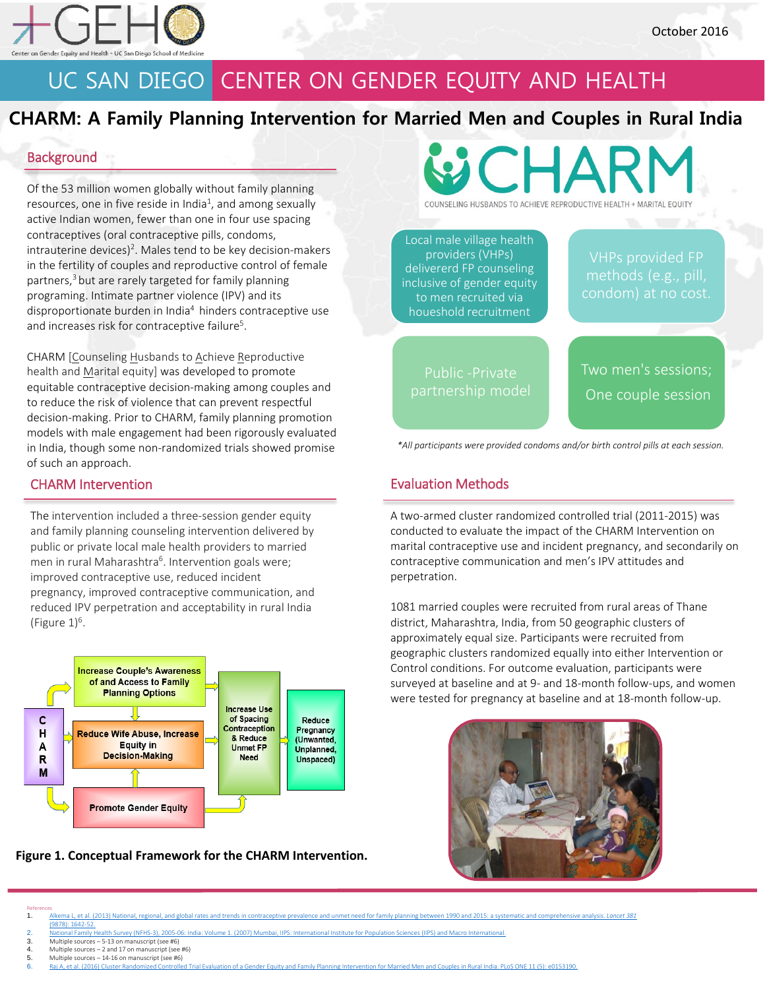

# UC SAN DIEGO CENTER ON GENDER EQUITY AND HEALTH

### **CHARM: A Family Planning Intervention for Married Men and Couples in Rural India**

### **Background**

Of the 53 million women globally without family planning resources, one in five reside in India<sup>1</sup>, and among sexually active Indian women, fewer than one in four use spacing contraceptives (oral contraceptive pills, condoms, intrauterine devices)<sup>2</sup>. Males tend to be key decision-makers in the fertility of couples and reproductive control of female partners, <sup>3</sup> but are rarely targeted for family planning programing. Intimate partner violence (IPV) and its disproportionate burden in India<sup>4</sup> hinders contraceptive use and increases risk for contraceptive failure<sup>5</sup>.

CHARM [Counseling Husbands to Achieve Reproductive health and Marital equity] was developed to promote equitable contraceptive decision-making among couples and to reduce the risk of violence that can prevent respectful decision-making. Prior to CHARM, family planning promotion models with male engagement had been rigorously evaluated in India, though some non-randomized trials showed promise of such an approach.

### CHARM Intervention

The intervention included a three-session gender equity and family planning counseling intervention delivered by public or private local male health providers to married men in rural Maharashtra<sup>6</sup>. Intervention goals were; improved contraceptive use, reduced incident pregnancy, improved contraceptive communication, and reduced IPV perpetration and acceptability in rural India (Figure  $1$ )<sup>6</sup>.



**Figure 1. Conceptual Framework for the CHARM Intervention.**



Local male village health providers (VHPs) delivererd FP counseling inclusive of gender equity to men recruited via houeshold recruitment

VHPs provided FP

Public -Private

Two men's sessions; One couple session

*\*All participants were provided condoms and/or birth control pills at each session.* 

### Evaluation Methods

A two-armed cluster randomized controlled trial (2011-2015) was conducted to evaluate the impact of the CHARM Intervention on marital contraceptive use and incident pregnancy, and secondarily on contraceptive communication and men's IPV attitudes and perpetration.

1081 married couples were recruited from rural areas of Thane district, Maharashtra, India, from 50 geographic clusters of approximately equal size. Participants were recruited from geographic clusters randomized equally into either Intervention or Control conditions. For outcome evaluation, participants were surveyed at baseline and at 9- and 18-month follow-ups, and women were tested for pregnancy at baseline and at 18-month follow-up.



References 1. [Alkema L, et al. \(2013\) National, regional, and global rates and trends in contraceptive prevalence and unmet need for family](http://www.thelancet.com/journals/lancet/article/PIIS0140-6736(12)62204-1/abstract) planning between 1990 and 2015: a systematic and comprehensive analysis. *Lancet 381*

- [\(9878\): 1642-52.](http://www.thelancet.com/journals/lancet/article/PIIS0140-6736(12)62204-1/abstract)
- 2. [National Family Health Survey \(NFHS-3\), 2005-06: India: Volume 1. \(2007\) Mumbai, IIPS: International Institute for Population Sciences \(IIPS\) and Macro International.](http://dhsprogram.com/pubs/pdf/FRIND3/FRIND3-Vol1andVol2.pdf)
- 3. Multiple sources 5-13 on manuscript (see #6) 4. Multiple sources 2 and 17 on manuscript (see #6)
- 5. Multiple sources 14-16 on manuscript (see #6)<br>6. Rai A. et al. (2016) Cluster Randomized Controlle
- -<br>Hed Trial Evaluation of a Gender Equity and Family Planning Intervention for Married Men and Couples in Rural India. PLoS ONE 11 (5): e0153190.